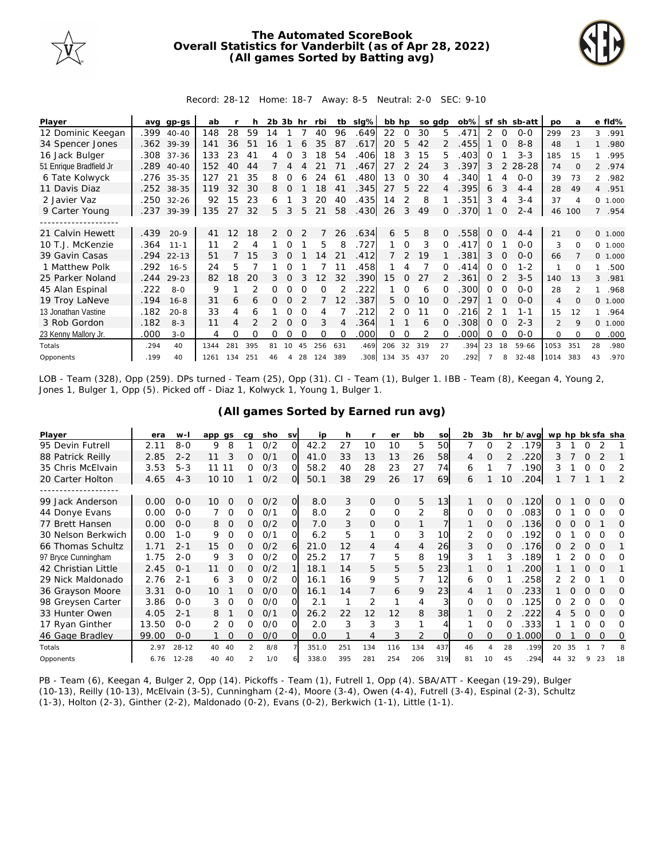

## **The Automated ScoreBook Overall Statistics for Vanderbilt (as of Apr 28, 2022) (All games Sorted by Batting avg)**



Record: 28-12 Home: 18-7 Away: 8-5 Neutral: 2-0 SEC: 9-10

| Player                  | ava  | gp-gs      | ab   |     |     | $2b$ $3b$ hr  |          |          | rbi      | tb       | slg% | bb hp |               | so adp |          | $ob\%$ | sf       |          | sh sb-att | <b>DO</b>      | a              |          | e fld%  |
|-------------------------|------|------------|------|-----|-----|---------------|----------|----------|----------|----------|------|-------|---------------|--------|----------|--------|----------|----------|-----------|----------------|----------------|----------|---------|
| 12 Dominic Keegan       | .399 | $40 - 40$  | 148  | 28  | 59  | 14            |          |          | 40       | 96       | .649 | 22    | $\Omega$      | 30     | 5        | 471    | 2        | $\Omega$ | $0 - 0$   | 299            | 23             | 3        | .991    |
| 34 Spencer Jones        |      | .362 39-39 | 141  | 36  | 51  | 16            |          |          | 35       | 87       | .617 | 20    | 5             | 42     |          | 455    |          | $\Omega$ | $8 - 8$   | 48             |                |          | .980    |
| 16 Jack Bulger          | .308 | $37 - 36$  | 133  | 23  | 41  | 4             | Ω        | 3        | 18       | 54       | .406 | 18    | 3             | 15     | 5.       | 403    | Ω        |          | $3 - 3$   | 185            | 15             |          | .995    |
| 51 Enrique Bradfield Jr | .289 | $40 - 40$  | 152  | 40  | 44  |               | 4        |          |          | 71       | .467 | 27    | 2             | 24     | 3        | .397   | 3        | 2        | 28-28     | 74             | $\Omega$       |          | 2 .974  |
| 6 Tate Kolwyck          |      | .276 35-35 | 127  | 21  | 35  | 8             | 0        |          | 24       | 61       | .480 | 13    | <sup>o</sup>  | 30     |          | .340   |          | 4        | $0 - 0$   | 39             | 73             |          | 2 .982  |
| 11 Davis Diaz           | .252 | 38-35      | 119  | 32  | 30  | 8             | O        |          | 18       | 41       | .345 | 27    | 5             | 22     | 4        | .395   | 6        |          | $4 - 4$   | 28             | 49             |          | 4 .951  |
| 2 Javier Vaz            | .250 | $32 - 26$  | 92   | 15  | 23  | 6             |          | 3        | 20       | 40       | .435 | 14    | 2             | 8      |          | .351   | 3        | 4        | $3 - 4$   | 37             | $\overline{A}$ | $\circ$  | 1.000   |
| 9 Carter Young          |      | .237 39-39 | 135  | 27  | 32  | 5.            | 3        | 5        | 21       | 58       | .430 | 26    | 3             | 49     | $\Omega$ | .370   |          | 0        | $2 - 4$   | 46             | 100            |          | 7 .954  |
|                         |      |            |      |     |     |               |          |          |          |          |      |       |               |        |          |        |          |          |           |                |                |          |         |
| 21 Calvin Hewett        | .439 | $20-9$     | 41   | 12  | 18  | $\mathcal{P}$ | $\Omega$ |          |          | 26       | .634 | 6     | 5             | 8      | $\Omega$ | .558   | $\Omega$ | $\Omega$ | $4 - 4$   | 21             | $\Omega$       |          | 0 1.000 |
| 10 T.J. McKenzie        | .364 | $11 - 1$   | 11   |     | 4   |               | 0        |          | 5        | 8        | .727 |       | $\Omega$      | 3      |          | .417   | 0        |          | $O-O$     | 3              | $\Omega$       | $\Omega$ | 1.000   |
| 39 Gavin Casas          | .294 | $22 - 13$  | 51   |     | 15  | 3             |          |          | 14       | 21       | .412 |       | $\mathcal{P}$ | 19     |          | 381    | 3        |          | $0 - 0$   | 66             |                |          | 0 1.000 |
| 1 Matthew Polk          | .292 | $16 - 5$   | 24   | 5   |     |               | Ω        |          |          | 11       | .458 |       |               |        | 0        | 414    | 0        | O        | $1 - 2$   |                | ∩              |          | .500    |
| 25 Parker Noland        | .244 | $29 - 23$  | 82   | 18  | 20  | 3             | 0        |          | 12       | 32       | .390 | 15    | 0             | 27     |          | .361   | 0        |          | $3 - 5$   | 140            | 13             | 3        | .981    |
| 45 Alan Espinal         | .222 | $8 - 0$    | 9    |     |     | Ω             |          |          | $\Omega$ |          | 222  |       | 0             | 6      |          | .300   | O        |          | $O-O$     | 28             | $\mathcal{P}$  |          | .968    |
| 19 Troy LaNeve          | .194 | $16 - 8$   | 31   | 6   | 6   | 0             | 0        |          |          | 12       | .387 | 5.    | $\Omega$      | 10     | 0        | 297    |          | $\Omega$ | $O-O$     | $\overline{4}$ | $\Omega$       | $\Omega$ | 1.000   |
| 13 Jonathan Vastine     | .182 | $20 - 8$   | 33   | 4   | 6   |               | Ω        |          | 4        |          | 212  | 2.    | 0             | 11     |          | 216    |          |          | $1 - 1$   | 15             | 12             |          | .964    |
| 3 Rob Gordon            | .182 | $8 - 3$    | 11   | 4   |     |               | $\Omega$ | $\Omega$ | 3        | 4        | .364 |       |               | 6      | $\Omega$ | .308   | $\Omega$ | $\Omega$ | $2 - 3$   | 2              | 9              | $\Omega$ | 1.000   |
| 23 Kenny Mallory Jr.    | .000 | $3 - 0$    | 4    | O   | Ω   | O             | Ω        |          | $\Omega$ | $\Omega$ | .000 | 0     | 0             | 2      |          | .000   | O        | O        | $O-O$     | $\Omega$       | $\Omega$       | $\Omega$ | .000    |
| Totals                  | .294 | 40         | 1344 | 281 | 395 | 81            | 10       | 45       | 256      | 631      | .469 | 206   | 32            | 319    | 27       | .394   | 23       | 18       | 59-66     | 1053           | 351            | 28       | .980    |
| Opponents               | .199 | 40         | 1261 | 134 | 251 | 46            | 4        | 28       | 124      | 389      | .308 | 134   | 35            | 437    | 20       | 292    |          | 8        | $32 - 48$ | 1014           | 383            | 43       | .970    |

LOB - Team (328), Opp (259). DPs turned - Team (25), Opp (31). CI - Team (1), Bulger 1. IBB - Team (8), Keegan 4, Young 2, Jones 1, Bulger 1, Opp (5). Picked off - Diaz 1, Kolwyck 1, Young 1, Bulger 1.

| (All games Sorted by Earned run avg) |
|--------------------------------------|
|--------------------------------------|

| Player              | era   | $W -$     | app gs         | ca            | sho | <b>SV</b> | ip    | h   |               | er       | bb  | SO       | 2b       | 3b       |                | hr b/avg wp hp bk sfa sha |    |    |          |          |          |
|---------------------|-------|-----------|----------------|---------------|-----|-----------|-------|-----|---------------|----------|-----|----------|----------|----------|----------------|---------------------------|----|----|----------|----------|----------|
| 95 Devin Futrell    | 2.11  | $8 - 0$   | 8<br>9         |               | 0/2 | O.        | 42.2  | 27  | 10            | 10       | 5   | 50       |          | O        |                | .179                      | 3  |    |          |          |          |
| 88 Patrick Reilly   | 2.85  | $2 - 2$   | 3<br>11        | 0             | 0/1 | $\Omega$  | 41.0  | 33  | 13            | 13       | 26  | 58       | 4        | $\Omega$ |                | .220                      | 3. |    | Ω        |          |          |
| 35 Chris McElvain   | 3.53  | $5 - 3$   | 11<br>11       | 0             | O/3 | O         | 58.2  | 40  | 28            | 23       | 27  | 74       | 6        |          |                | 190                       | 3  |    | O        | $\Omega$ | 2        |
| 20 Carter Holton    | 4.65  | $4 - 3$   | 10 10          |               | 0/2 | 0         | 50.1  | 38  | 29            | 26       | 17  | 69       | 6        |          | 10             | .204                      |    |    |          |          | 2        |
|                     |       |           |                |               |     |           |       |     |               |          |     |          |          |          |                |                           |    |    |          |          |          |
| 99 Jack Anderson    | 0.00  | $0 - 0$   | 10<br>$\Omega$ | 0             | O/2 | $\Omega$  | 8.0   | 3   | $\mathcal{O}$ | $\Omega$ | 5   | 13       |          | $\Omega$ | $\Omega$       | .120                      | ∩  |    | Ω        | $\Omega$ | $\Omega$ |
| 44 Donye Evans      | 0.00  | $0 - 0$   | $\Omega$       | 0             | 0/1 | $\Omega$  | 8.0   | 2   | $\mathbf 0$   | $\Omega$ | 2   | 8        | $\Omega$ | $\Omega$ | $\Omega$       | .083                      | 0  |    | Ω        | ∩        | O        |
| 77 Brett Hansen     | 0.00  | $0 - 0$   | $\Omega$<br>8  | 0             | O/2 | $\Omega$  | 7.0   | 3   | 0             | $\Omega$ | 1   |          |          | $\Omega$ | $\Omega$       | .136                      | 0  |    | $\Omega$ |          | $\Omega$ |
| 30 Nelson Berkwich  | 0.00  | $1 - 0$   | 9<br>$\Omega$  | 0.            | 0/1 | O.        | 6.2   | 5   |               | $\Omega$ | 3   | 10       | 2        | O        | 0              | 192                       | O  |    | Ω        | Ω        | O        |
| 66 Thomas Schultz   | 1.71  | $2 - 1$   | 15<br>O        | 0             | O/2 | 61        | 21.0  | 12  | 4             | 4        | 4   | 26       | 3        | 0        | O              | .176                      | 0  |    | O        | O        |          |
| 97 Bryce Cunningham | 1.75  | $2 - 0$   | 3<br>9         | Ω             | 0/2 | വ         | 25.2  | 17  |               | 5        | 8   | 19       | 3        |          | 3              | 189                       |    |    |          |          | O        |
| 42 Christian Little | 2.45  | $O - 1$   | 11             | 0             | 0/2 |           | 18.1  | 14  | 5             | 5        | 5   | 23       |          | $\Omega$ |                | 200                       |    |    | O        | $\Omega$ |          |
| 29 Nick Maldonado   | 2.76  | $2 - 1$   | 3<br>6         | 0             | O/2 | വ         | 16.1  | 16  | 9             | 5        | 7   | 12       | 6        | $\Omega$ |                | 258                       |    |    | O        |          | Ω        |
| 36 Grayson Moore    | 3.31  | $0 - 0$   | 10             | Ω             | O/O | O.        | 16.1  | 14  | 7             | 6        | 9   | 23       | 4        |          | $\Omega$       | 233                       |    | 0  | O        | O        | $\Omega$ |
| 98 Greysen Carter   | 3.86  | $0 - 0$   | 3<br>$\Omega$  | Ω             | O/O |           | 2.1   |     | 2             |          | 4   |          | $\Omega$ | $\Omega$ |                | 125                       |    |    |          | $\Omega$ | O        |
| 33 Hunter Owen      | 4.05  | $2 - 1$   | 8              | 0             | 0/1 | $\Omega$  | 26.2  | 22  | 12            | 12       | 8   | 38       |          | 0        |                | 222                       |    | h. | O        | $\Omega$ | O        |
| 17 Ryan Ginther     | 13.50 | $0 - 0$   | 2<br>$\Omega$  | O             | O/O | O.        | 2.0   | 3   | 3             | 3        | 1   |          |          | O        |                | 333                       |    |    | $\Omega$ | $\Omega$ | Ω        |
| 46 Gage Bradley     | 99.00 | $0 - 0$   | $\Omega$       | 0             | O/O | $\Omega$  | 0.0   |     | 4             |          | 2   | $\Omega$ | $\Omega$ | $\Omega$ | 0 <sub>1</sub> | .000                      | 0  |    | $\Omega$ | $\Omega$ | 0        |
| Totals              | 2.97  | $28 - 12$ | 40<br>40       | $\mathcal{P}$ | 8/8 |           | 351.0 | 251 | 134           | 116      | 134 | 437      | 46       | 4        | 28             | .199                      | 20 | 35 |          |          | 8        |
| Opponents           | 6.76  | $12 - 28$ | 40<br>40       |               | 1/0 |           | 338.0 | 395 | 281           | 254      | 206 | 319      | 81       | 10       | 45             | 294                       | 44 | 32 |          | 23       | 18       |

PB - Team (6), Keegan 4, Bulger 2, Opp (14). Pickoffs - Team (1), Futrell 1, Opp (4). SBA/ATT - Keegan (19-29), Bulger (10-13), Reilly (10-13), McElvain (3-5), Cunningham (2-4), Moore (3-4), Owen (4-4), Futrell (3-4), Espinal (2-3), Schultz (1-3), Holton (2-3), Ginther (2-2), Maldonado (0-2), Evans (0-2), Berkwich (1-1), Little (1-1).